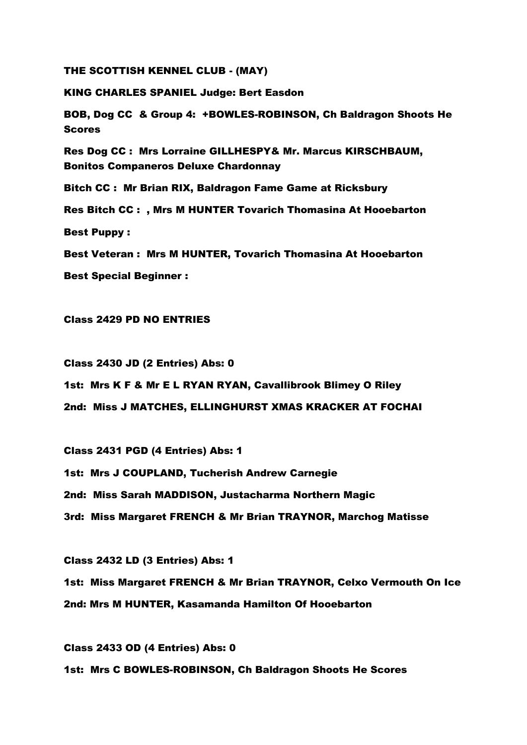THE SCOTTISH KENNEL CLUB - (MAY)

KING CHARLES SPANIEL Judge: Bert Easdon

BOB, Dog CC & Group 4: +BOWLES-ROBINSON, Ch Baldragon Shoots He Scores

Res Dog CC : Mrs Lorraine GILLHESPY& Mr. Marcus KIRSCHBAUM, Bonitos Companeros Deluxe Chardonnay

Bitch CC : Mr Brian RIX, Baldragon Fame Game at Ricksbury

Res Bitch CC : , Mrs M HUNTER Tovarich Thomasina At Hooebarton

Best Puppy :

Best Veteran : Mrs M HUNTER, Tovarich Thomasina At Hooebarton

Best Special Beginner :

Class 2429 PD NO ENTRIES

Class 2430 JD (2 Entries) Abs: 0

1st: Mrs K F & Mr E L RYAN RYAN, Cavallibrook Blimey O Riley

2nd: Miss J MATCHES, ELLINGHURST XMAS KRACKER AT FOCHAI

Class 2431 PGD (4 Entries) Abs: 1 1st: Mrs J COUPLAND, Tucherish Andrew Carnegie 2nd: Miss Sarah MADDISON, Justacharma Northern Magic 3rd: Miss Margaret FRENCH & Mr Brian TRAYNOR, Marchog Matisse

Class 2432 LD (3 Entries) Abs: 1 1st: Miss Margaret FRENCH & Mr Brian TRAYNOR, Celxo Vermouth On Ice 2nd: Mrs M HUNTER, Kasamanda Hamilton Of Hooebarton

Class 2433 OD (4 Entries) Abs: 0 1st: Mrs C BOWLES-ROBINSON, Ch Baldragon Shoots He Scores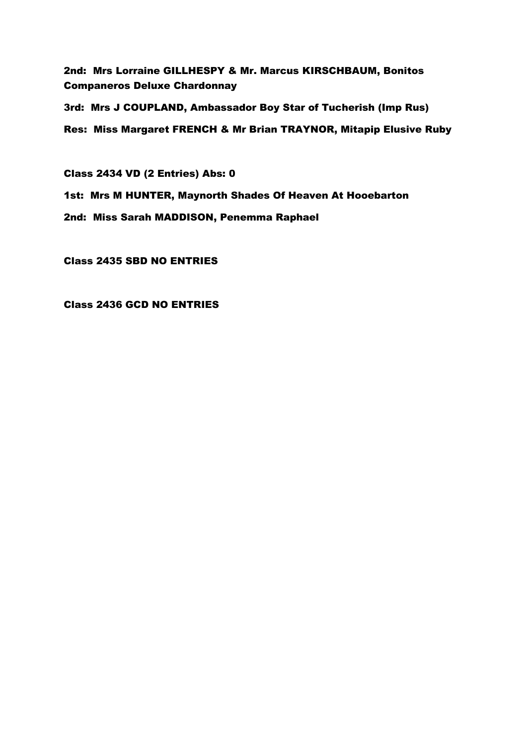2nd: Mrs Lorraine GILLHESPY & Mr. Marcus KIRSCHBAUM, Bonitos Companeros Deluxe Chardonnay

3rd: Mrs J COUPLAND, Ambassador Boy Star of Tucherish (Imp Rus) Res: Miss Margaret FRENCH & Mr Brian TRAYNOR, Mitapip Elusive Ruby

Class 2434 VD (2 Entries) Abs: 0

1st: Mrs M HUNTER, Maynorth Shades Of Heaven At Hooebarton

2nd: Miss Sarah MADDISON, Penemma Raphael

Class 2435 SBD NO ENTRIES

Class 2436 GCD NO ENTRIES